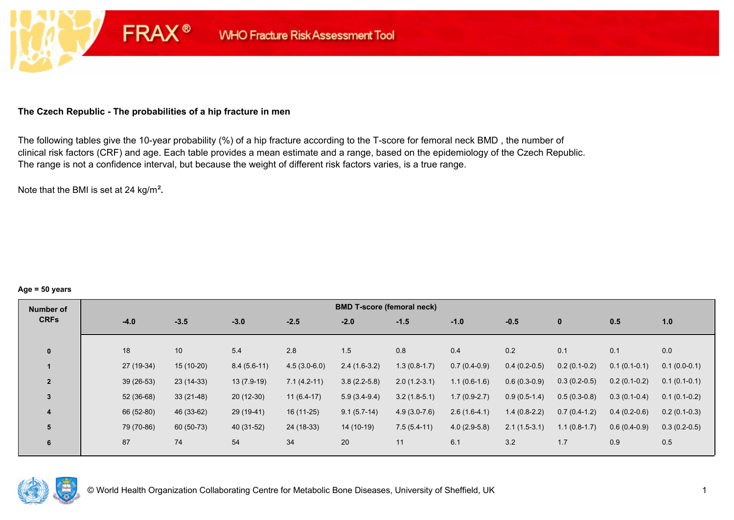# **The Czech Republic - The probabilities of a hip fracture in men**

**FRAX®** 

The following tables give the 10-year probability (%) of a hip fracture according to the T-score for femoral neck BMD , the number of clinical risk factors (CRF) and age. Each table provides a mean estimate and a range, based on the epidemiology of the Czech Republic. The range is not a confidence interval, but because the weight of different risk factors varies, is a true range.

Note that the BMI is set at 24 kg/m²**.** 

#### **Age = 50 years**

| Number of      |             |             |               |                | <b>BMD T-score (femoral neck)</b> |                |                |                |                |                |                |
|----------------|-------------|-------------|---------------|----------------|-----------------------------------|----------------|----------------|----------------|----------------|----------------|----------------|
| <b>CRFs</b>    | $-4.0$      | $-3.5$      | $-3.0$        | $-2.5$         | $-2.0$                            | $-1.5$         | $-1.0$         | $-0.5$         | $\mathbf{0}$   | 0.5            | 1.0            |
|                |             |             |               |                |                                   |                |                |                |                |                |                |
| $\mathbf{0}$   | 18          | 10          | 5.4           | 2.8            | 1.5                               | 0.8            | 0.4            | 0.2            | 0.1            | 0.1            | 0.0            |
|                | 27 (19-34)  | 15 (10-20)  | $8.4(5.6-11)$ | $4.5(3.0-6.0)$ | $2.4(1.6-3.2)$                    | $1.3(0.8-1.7)$ | $0.7(0.4-0.9)$ | $0.4(0.2-0.5)$ | $0.2(0.1-0.2)$ | $0.1(0.1-0.1)$ | $0.1(0.0-0.1)$ |
| $\overline{2}$ | $39(26-53)$ | $23(14-33)$ | $13(7.9-19)$  | $7.1(4.2-11)$  | $3.8(2.2-5.8)$                    | $2.0(1.2-3.1)$ | $1.1(0.6-1.6)$ | $0.6(0.3-0.9)$ | $0.3(0.2-0.5)$ | $0.2(0.1-0.2)$ | $0.1(0.1-0.1)$ |
| $\overline{3}$ | $52(36-68)$ | $33(21-48)$ | $20(12-30)$   | $11(6.4-17)$   | $5.9(3.4-9.4)$                    | $3.2(1.8-5.1)$ | $1.7(0.9-2.7)$ | $0.9(0.5-1.4)$ | $0.5(0.3-0.8)$ | $0.3(0.1-0.4)$ | $0.1(0.1-0.2)$ |
| 4              | 66 (52-80)  | 46 (33-62)  | 29 (19-41)    | $16(11-25)$    | $9.1(5.7-14)$                     | $4.9(3.0-7.6)$ | $2.6(1.6-4.1)$ | $1.4(0.8-2.2)$ | $0.7(0.4-1.2)$ | $0.4(0.2-0.6)$ | $0.2(0.1-0.3)$ |
| 5              | 79 (70-86)  | 60 (50-73)  | 40 (31-52)    | 24 (18-33)     | 14 (10-19)                        | $7.5(5.4-11)$  | $4.0(2.9-5.8)$ | $2.1(1.5-3.1)$ | $1.1(0.8-1.7)$ | $0.6(0.4-0.9)$ | $0.3(0.2-0.5)$ |
| 6              | 87          | 74          | 54            | 34             | 20                                | 11             | 6.1            | 3.2            | 1.7            | 0.9            | 0.5            |

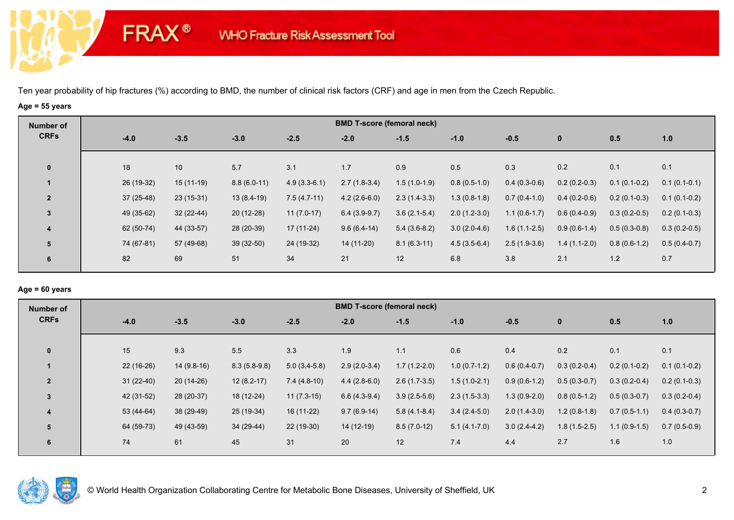# **Age = 55 years**

**FRAX®** 

| Number of      |             |             |               |                | <b>BMD T-score (femoral neck)</b> |                |                |                |                |                |                |
|----------------|-------------|-------------|---------------|----------------|-----------------------------------|----------------|----------------|----------------|----------------|----------------|----------------|
| <b>CRFs</b>    | $-4.0$      | $-3.5$      | $-3.0$        | $-2.5$         | $-2.0$                            | $-1.5$         | $-1.0$         | $-0.5$         | $\bf{0}$       | 0.5            | 1.0            |
| $\mathbf 0$    | 18          | 10          | 5.7           | 3.1            | 1.7                               | 0.9            | 0.5            | 0.3            | 0.2            | 0.1            | 0.1            |
|                | 26 (19-32)  | $15(11-19)$ | $8.8(6.0-11)$ | $4.9(3.3-6.1)$ | $2.7(1.8-3.4)$                    | $1.5(1.0-1.9)$ | $0.8(0.5-1.0)$ | $0.4(0.3-0.6)$ | $0.2(0.2-0.3)$ | $0.1(0.1-0.2)$ | $0.1(0.1-0.1)$ |
| $\overline{2}$ | $37(25-48)$ | $23(15-31)$ | $13(8.4-19)$  | $7.5(4.7-11)$  | $4.2(2.6-6.0)$                    | $2.3(1.4-3.3)$ | $1.3(0.8-1.8)$ | $0.7(0.4-1.0)$ | $0.4(0.2-0.6)$ | $0.2(0.1-0.3)$ | $0.1(0.1-0.2)$ |
| $\mathbf{3}$   | 49 (35-62)  | $32(22-44)$ | $20(12-28)$   | $11(7.0-17)$   | $6.4(3.9-9.7)$                    | $3.6(2.1-5.4)$ | $2.0(1.2-3.0)$ | $1.1(0.6-1.7)$ | $0.6(0.4-0.9)$ | $0.3(0.2-0.5)$ | $0.2(0.1-0.3)$ |
| 4              | 62 (50-74)  | 44 (33-57)  | 28 (20-39)    | $17(11-24)$    | $9.6(6.4-14)$                     | $5.4(3.6-8.2)$ | $3.0(2.0-4.6)$ | $1.6(1.1-2.5)$ | $0.9(0.6-1.4)$ | $0.5(0.3-0.8)$ | $0.3(0.2-0.5)$ |
| 5              | 74 (67-81)  | 57 (49-68)  | $39(32-50)$   | 24 (19-32)     | 14 (11-20)                        | $8.1(6.3-11)$  | $4.5(3.5-6.4)$ | $2.5(1.9-3.6)$ | $1.4(1.1-2.0)$ | $0.8(0.6-1.2)$ | $0.5(0.4-0.7)$ |
| 6              | 82          | 69          | 51            | 34             | 21                                | 12             | 6.8            | 3.8            | 2.1            | $1.2$          | 0.7            |

#### **Age = 60 years**

| Number of      |             |              |                |                | <b>BMD T-score (femoral neck)</b> |                |                |                |                |                |                |
|----------------|-------------|--------------|----------------|----------------|-----------------------------------|----------------|----------------|----------------|----------------|----------------|----------------|
| <b>CRFs</b>    | $-4.0$      | $-3.5$       | $-3.0$         | $-2.5$         | $-2.0$                            | $-1.5$         | $-1.0$         | $-0.5$         | $\mathbf{0}$   | 0.5            | 1.0            |
| $\mathbf{0}$   | 15          | 9.3          | 5.5            | 3.3            | 1.9                               | 1.1            | 0.6            | 0.4            | 0.2            | 0.1            | 0.1            |
|                | $22(16-26)$ | $14(9.8-16)$ | $8.3(5.8-9.8)$ | $5.0(3.4-5.8)$ | $2.9(2.0-3.4)$                    | $1.7(1.2-2.0)$ | $1.0(0.7-1.2)$ | $0.6(0.4-0.7)$ | $0.3(0.2-0.4)$ | $0.2(0.1-0.2)$ | $0.1(0.1-0.2)$ |
| $\overline{2}$ | $31(22-40)$ | $20(14-26)$  | $12(8.2-17)$   | $7.4(4.8-10)$  | $4.4(2.8-6.0)$                    | $2.6(1.7-3.5)$ | $1.5(1.0-2.1)$ | $0.9(0.6-1.2)$ | $0.5(0.3-0.7)$ | $0.3(0.2-0.4)$ | $0.2(0.1-0.3)$ |
| 3              | $42(31-52)$ | 28 (20-37)   | 18 (12-24)     | $11(7.3-15)$   | $6.6(4.3-9.4)$                    | $3.9(2.5-5.6)$ | $2.3(1.5-3.3)$ | $1.3(0.9-2.0)$ | $0.8(0.5-1.2)$ | $0.5(0.3-0.7)$ | $0.3(0.2-0.4)$ |
| 4              | 53 (44-64)  | 38 (29-49)   | 25 (19-34)     | 16 (11-22)     | $9.7(6.9-14)$                     | $5.8(4.1-8.4)$ | $3.4(2.4-5.0)$ | $2.0(1.4-3.0)$ | $1.2(0.8-1.8)$ | $0.7(0.5-1.1)$ | $0.4(0.3-0.7)$ |
| 5              | 64 (59-73)  | 49 (43-59)   | 34 (29-44)     | $22(19-30)$    | $14(12-19)$                       | $8.5(7.0-12)$  | $5.1(4.1-7.0)$ | $3.0(2.4-4.2)$ | $1.8(1.5-2.5)$ | $1.1(0.9-1.5)$ | $0.7(0.5-0.9)$ |
| 6              | 74          | 61           | 45             | 31             | 20                                | 12             | 7.4            | 4.4            | 2.7            | 1.6            | 1.0            |

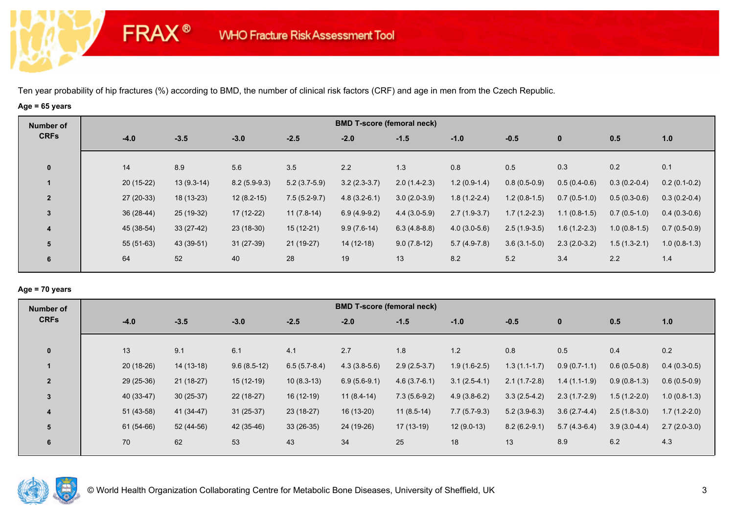# **Age = 65 years**

**FRAX®** 

| Number of      |             |              |                |                |                | <b>BMD T-score (femoral neck)</b> |                |                |                |                |                |
|----------------|-------------|--------------|----------------|----------------|----------------|-----------------------------------|----------------|----------------|----------------|----------------|----------------|
| <b>CRFs</b>    | $-4.0$      | $-3.5$       | $-3.0$         | $-2.5$         | $-2.0$         | $-1.5$                            | $-1.0$         | $-0.5$         | $\bf{0}$       | 0.5            | 1.0            |
| $\mathbf 0$    | 14          | 8.9          | 5.6            | 3.5            | 2.2            | 1.3                               | 0.8            | 0.5            | 0.3            | 0.2            | 0.1            |
|                | $20(15-22)$ | $13(9.3-14)$ | $8.2(5.9-9.3)$ | $5.2(3.7-5.9)$ | $3.2(2.3-3.7)$ | $2.0(1.4-2.3)$                    | $1.2(0.9-1.4)$ | $0.8(0.5-0.9)$ | $0.5(0.4-0.6)$ | $0.3(0.2-0.4)$ | $0.2(0.1-0.2)$ |
| $\overline{2}$ | $27(20-33)$ | 18 (13-23)   | $12(8.2-15)$   | $7.5(5.2-9.7)$ | $4.8(3.2-6.1)$ | $3.0(2.0-3.9)$                    | $1.8(1.2-2.4)$ | $1.2(0.8-1.5)$ | $0.7(0.5-1.0)$ | $0.5(0.3-0.6)$ | $0.3(0.2-0.4)$ |
| $\overline{3}$ | $36(28-44)$ | 25 (19-32)   | 17 (12-22)     | $11(7.8-14)$   | $6.9(4.9-9.2)$ | $4.4(3.0-5.9)$                    | $2.7(1.9-3.7)$ | $1.7(1.2-2.3)$ | $1.1(0.8-1.5)$ | $0.7(0.5-1.0)$ | $0.4(0.3-0.6)$ |
| 4              | 45 (38-54)  | $33(27-42)$  | $23(18-30)$    | $15(12-21)$    | $9.9(7.6-14)$  | $6.3(4.8-8.8)$                    | $4.0(3.0-5.6)$ | $2.5(1.9-3.5)$ | $1.6(1.2-2.3)$ | $1.0(0.8-1.5)$ | $0.7(0.5-0.9)$ |
| 5              | $55(51-63)$ | 43 (39-51)   | $31(27-39)$    | 21 (19-27)     | $14(12-18)$    | $9.0(7.8-12)$                     | $5.7(4.9-7.8)$ | $3.6(3.1-5.0)$ | $2.3(2.0-3.2)$ | $1.5(1.3-2.1)$ | $1.0(0.8-1.3)$ |
| 6              | 64          | 52           | 40             | 28             | 19             | 13                                | 8.2            | 5.2            | 3.4            | 2.2            | 1.4            |

# **Age = 70 years**

| Number of      | <b>BMD T-score (femoral neck)</b> |             |               |                |                |                |                |                |                |                |                |  |  |
|----------------|-----------------------------------|-------------|---------------|----------------|----------------|----------------|----------------|----------------|----------------|----------------|----------------|--|--|
| <b>CRFs</b>    | $-4.0$                            | $-3.5$      | $-3.0$        | $-2.5$         | $-2.0$         | $-1.5$         | $-1.0$         | $-0.5$         | $\mathbf{0}$   | 0.5            | 1.0            |  |  |
|                |                                   |             |               |                |                |                |                |                |                |                |                |  |  |
|                |                                   |             |               |                |                |                |                |                |                |                |                |  |  |
|                | $20(18-26)$                       | $14(13-18)$ | $9.6(8.5-12)$ | $6.5(5.7-8.4)$ | $4.3(3.8-5.6)$ | $2.9(2.5-3.7)$ | $1.9(1.6-2.5)$ | $1.3(1.1-1.7)$ | $0.9(0.7-1.1)$ | $0.6(0.5-0.8)$ | $0.4(0.3-0.5)$ |  |  |
| $\overline{2}$ | 29 (25-36)                        | $21(18-27)$ | $15(12-19)$   | $10(8.3-13)$   | $6.9(5.6-9.1)$ | $4.6(3.7-6.1)$ | $3.1(2.5-4.1)$ | $2.1(1.7-2.8)$ | $1.4(1.1-1.9)$ | $0.9(0.8-1.3)$ | $0.6(0.5-0.9)$ |  |  |
| $\overline{3}$ | 40 (33-47)                        | $30(25-37)$ | $22(18-27)$   | 16 (12-19)     | $11(8.4-14)$   | $7.3(5.6-9.2)$ | $4.9(3.8-6.2)$ | $3.3(2.5-4.2)$ | $2.3(1.7-2.9)$ | $1.5(1.2-2.0)$ | $1.0(0.8-1.3)$ |  |  |
| 4              | $51(43-58)$                       | 41 (34-47)  | $31(25-37)$   | $23(18-27)$    | 16 (13-20)     | $11(8.5-14)$   | $7.7(5.7-9.3)$ | $5.2(3.9-6.3)$ | $3.6(2.7-4.4)$ | $2.5(1.8-3.0)$ | $1.7(1.2-2.0)$ |  |  |
| 5              | $61(54-66)$                       | 52 (44-56)  | 42 (35-46)    | $33(26-35)$    | 24 (19-26)     | $17(13-19)$    | $12(9.0-13)$   | $8.2(6.2-9.1)$ | $5.7(4.3-6.4)$ | $3.9(3.0-4.4)$ | $2.7(2.0-3.0)$ |  |  |
| 6              | 70                                | 62          | 53            | 43             | 34             | 25             | 18             | 13             | 8.9            | 6.2            | 4.3            |  |  |
| $\mathbf{0}$   | 13                                | 9.1         | 6.1           | 4.1            | 2.7            | 1.8            | 1.2            | 0.8            | 0.5            | 0.4            | 0.2            |  |  |

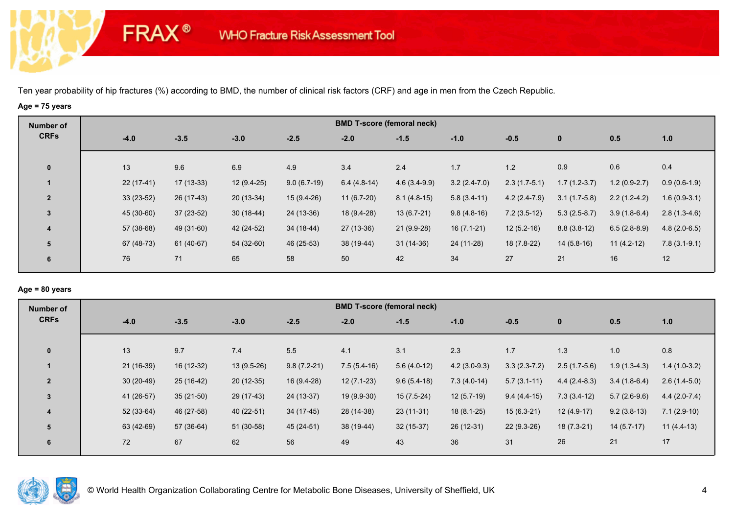# **Age = 75 years**

**FRAX®** 

| Number of      |             |             |              |               |               | <b>BMD T-score (femoral neck)</b> |                |                |                |                |                |
|----------------|-------------|-------------|--------------|---------------|---------------|-----------------------------------|----------------|----------------|----------------|----------------|----------------|
| <b>CRFs</b>    | $-4.0$      | $-3.5$      | $-3.0$       | $-2.5$        | $-2.0$        | $-1.5$                            | $-1.0$         | $-0.5$         | $\bf{0}$       | 0.5            | 1.0            |
| $\mathbf 0$    | 13          | 9.6         | 6.9          | 4.9           | 3.4           | 2.4                               | 1.7            | 1.2            | 0.9            | 0.6            | 0.4            |
|                | $22(17-41)$ | $17(13-33)$ | $12(9.4-25)$ | $9.0(6.7-19)$ | $6.4(4.8-14)$ | $4.6(3.4-9.9)$                    | $3.2(2.4-7.0)$ | $2.3(1.7-5.1)$ | $1.7(1.2-3.7)$ | $1.2(0.9-2.7)$ | $0.9(0.6-1.9)$ |
| $\overline{2}$ | $33(23-52)$ | 26 (17-43)  | $20(13-34)$  | $15(9.4-26)$  | $11(6.7-20)$  | $8.1(4.8-15)$                     | $5.8(3.4-11)$  | $4.2(2.4-7.9)$ | $3.1(1.7-5.8)$ | $2.2(1.2-4.2)$ | $1.6(0.9-3.1)$ |
| 3              | 45 (30-60)  | $37(23-52)$ | $30(18-44)$  | 24 (13-36)    | 18 (9.4-28)   | $13(6.7-21)$                      | $9.8(4.8-16)$  | $7.2(3.5-12)$  | $5.3(2.5-8.7)$ | $3.9(1.8-6.4)$ | $2.8(1.3-4.6)$ |
| 4              | 57 (38-68)  | 49 (31-60)  | 42 (24-52)   | 34 (18-44)    | 27 (13-36)    | 21 (9.9-28)                       | $16(7.1-21)$   | $12(5.2-16)$   | $8.8(3.8-12)$  | $6.5(2.8-8.9)$ | $4.8(2.0-6.5)$ |
| 5              | 67 (48-73)  | 61 (40-67)  | 54 (32-60)   | 46 (25-53)    | 38 (19-44)    | $31(14-36)$                       | 24 (11-28)     | 18 (7.8-22)    | $14(5.8-16)$   | $11(4.2-12)$   | $7.8(3.1-9.1)$ |
| 6              | 76          | 71          | 65           | 58            | 50            | 42                                | 34             | 27             | 21             | 16             | 12             |

#### **Age = 80 years**

| Number of      |             |             |              |               |               | <b>BMD T-score (femoral neck)</b> |                |                |                |                |                |
|----------------|-------------|-------------|--------------|---------------|---------------|-----------------------------------|----------------|----------------|----------------|----------------|----------------|
| <b>CRFs</b>    | $-4.0$      | $-3.5$      | $-3.0$       | $-2.5$        | $-2.0$        | $-1.5$                            | $-1.0$         | $-0.5$         | $\mathbf{0}$   | 0.5            | 1.0            |
| $\mathbf{0}$   | 13          | 9.7         | 7.4          | 5.5           | 4.1           | 3.1                               | 2.3            | 1.7            | 1.3            | 1.0            | 0.8            |
|                |             |             |              |               |               |                                   |                |                |                |                |                |
|                | $21(16-39)$ | 16 (12-32)  | $13(9.5-26)$ | $9.8(7.2-21)$ | $7.5(5.4-16)$ | $5.6(4.0-12)$                     | $4.2(3.0-9.3)$ | $3.3(2.3-7.2)$ | $2.5(1.7-5.6)$ | $1.9(1.3-4.3)$ | $1.4(1.0-3.2)$ |
| $\overline{2}$ | $30(20-49)$ | $25(16-42)$ | $20(12-35)$  | 16 (9.4-28)   | $12(7.1-23)$  | $9.6(5.4-18)$                     | $7.3(4.0-14)$  | $5.7(3.1-11)$  | $4.4(2.4-8.3)$ | $3.4(1.8-6.4)$ | $2.6(1.4-5.0)$ |
| $\overline{3}$ | 41 (26-57)  | $35(21-50)$ | 29 (17-43)   | 24 (13-37)    | 19 (9.9-30)   | $15(7.5-24)$                      | $12(5.7-19)$   | $9.4(4.4-15)$  | $7.3(3.4-12)$  | $5.7(2.6-9.6)$ | $4.4(2.0-7.4)$ |
| 4              | $52(33-64)$ | 46 (27-58)  | 40 (22-51)   | $34(17-45)$   | 28 (14-38)    | $23(11-31)$                       | $18(8.1-25)$   | $15(6.3-21)$   | $12(4.9-17)$   | $9.2(3.8-13)$  | $7.1(2.9-10)$  |
| 5              | 63 (42-69)  | 57 (36-64)  | 51 (30-58)   | 45 (24-51)    | 38 (19-44)    | $32(15-37)$                       | 26 (12-31)     | $22(9.3-26)$   | $18(7.3-21)$   | $14(5.7-17)$   | $11(4.4-13)$   |
| 6              | 72          | 67          | 62           | 56            | 49            | 43                                | 36             | 31             | 26             | 21             | 17             |
|                |             |             |              |               |               |                                   |                |                |                |                |                |